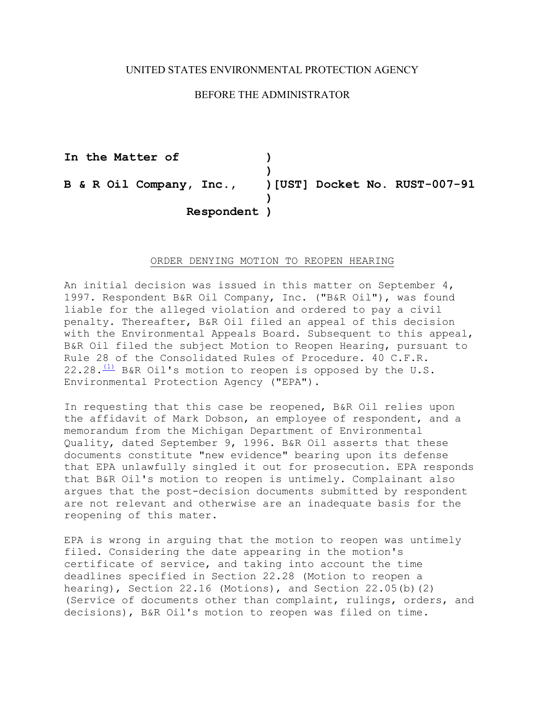## UNITED STATES ENVIRONMENTAL PROTECTION AGENCY

## BEFORE THE ADMINISTRATOR

B & R Oil Company, Inc., **In the Matter of ) ) B & R Oil Company, Inc., )[UST] Docket No. RUST-007-91 ) Respondent )** 

## ORDER DENYING MOTION TO REOPEN HEARING

An initial decision was issued in this matter on September  $4$ , 1997. Respondent B&R Oil Company, Inc. ("B&R Oil"), was found liable for the alleged violation and ordered to pay a civil penalty. Thereafter, B&R Oil filed an appeal of this decision with the Environmental Appeals Board. Subsequent to this appeal, B&R Oil filed the subject Motion to Reopen Hearing, pursuant to Rule 28 of the Consolidated Rules of Procedure. 40 C.F.R.  $22.28 \cdot \frac{(1)}{1}$  B&R Oil's motion to reopen is opposed by the U.S. Environmental Protection Agency ("EPA").

In requesting that this case be reopened, B&R Oil relies upon the affidavit of Mark Dobson, an employee of respondent, and a memorandum from the Michigan Department of Environmental Quality, dated September 9, 1996. B&R Oil asserts that these documents constitute "new evidence" bearing upon its defense that EPA unlawfully singled it out for prosecution. EPA responds that B&R Oil's motion to reopen is untimely. Complainant also argues that the post-decision documents submitted by respondent are not relevant and otherwise are an inadequate basis for the reopening of this mater.

EPA is wrong in arguing that the motion to reopen was untimely filed. Considering the date appearing in the motion's certificate of service, and taking into account the time deadlines specified in Section 22.28 (Motion to reopen a hearing), Section 22.16 (Motions), and Section 22.05(b)(2) (Service of documents other than complaint, rulings, orders, and decisions), B&R Oil's motion to reopen was filed on time.